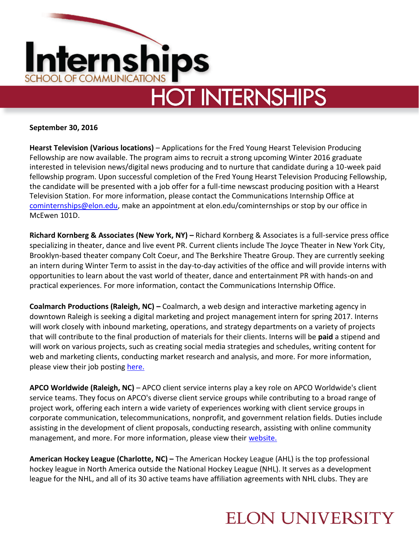

**September 30, 2016**

**Hearst Television (Various locations)** – Applications for the Fred Young Hearst Television Producing Fellowship are now available. The program aims to recruit a strong upcoming Winter 2016 graduate interested in television news/digital news producing and to nurture that candidate during a 10-week paid fellowship program. Upon successful completion of the Fred Young Hearst Television Producing Fellowship, the candidate will be presented with a job offer for a full-time newscast producing position with a Hearst Television Station. For more information, please contact the Communications Internship Office at [cominternships@elon.edu,](mailto:cominternships@elon.edu) make an appointment at elon.edu/cominternships or stop by our office in McEwen 101D.

**Richard Kornberg & Associates (New York, NY) –** Richard Kornberg & Associates is a full-service press office specializing in theater, dance and live event PR. Current clients include The Joyce Theater in New York City, Brooklyn-based theater company Colt Coeur, and The Berkshire Theatre Group. They are currently seeking an intern during Winter Term to assist in the day-to-day activities of the office and will provide interns with opportunities to learn about the vast world of theater, dance and entertainment PR with hands-on and practical experiences. For more information, contact the Communications Internship Office.

**Coalmarch Productions (Raleigh, NC) –** Coalmarch, a web design and interactive marketing agency in downtown Raleigh is seeking a digital marketing and project management intern for spring 2017. Interns will work closely with inbound marketing, operations, and strategy departments on a variety of projects that will contribute to the final production of materials for their clients. Interns will be **paid** a stipend and will work on various projects, such as creating social media strategies and schedules, writing content for web and marketing clients, conducting market research and analysis, and more. For more information, please view their job postin[g here.](http://jobs.coalmarch.com/apply/job_20160928161112_OKCXQCGUCJ3EGIET/Digital-Marketing-Internship-Spring-2017?source=INDE)

**APCO Worldwide (Raleigh, NC)** – APCO client service interns play a key role on APCO Worldwide's client service teams. They focus on APCO's diverse client service groups while contributing to a broad range of project work, offering each intern a wide variety of experiences working with client service groups in corporate communication, telecommunications, nonprofit, and government relation fields. Duties include assisting in the development of client proposals, conducting research, assisting with online community management, and more. For more information, please view their [website.](http://jobs.jobvite.com/careers/apco/job/oBH13fw6?__jvst=Job%20Board&__jvsd=Indeed)

**American Hockey League (Charlotte, NC) –** The American Hockey League (AHL) is the top professional hockey league in North America outside the National Hockey League (NHL). It serves as a development league for the NHL, and all of its 30 active teams have affiliation agreements with NHL clubs. They are

## **ELON UNIVERSITY**